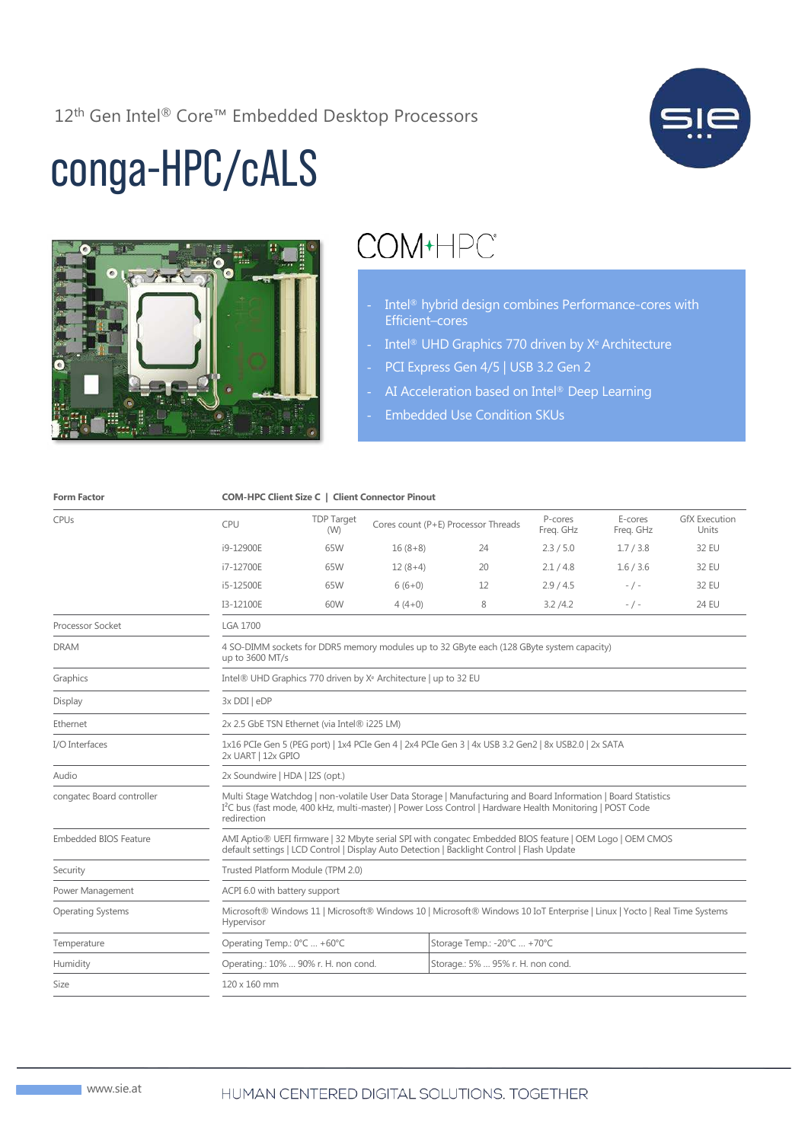12th Gen Intel® Core™ Embedded Desktop Processors



## conga-HPC/cALS



## COM+HPC<sup>®</sup>

- Intel<sup>®</sup> hybrid design combines Performance-cores with Efficient–cores
- Intel® UHD Graphics 770 driven by X<sup>e</sup> Architecture
- PCI Express Gen 4/5 | USB 3.2 Gen 2
- AI Acceleration based on Intel® Deep Learning
- Embedded Use Condition SKUs

| <b>Form Factor</b>           | <b>COM-HPC Client Size C   Client Connector Pinout</b>                                                                                                                                                                                                 |                                                                           |           |                                     |                      |                      |                               |  |
|------------------------------|--------------------------------------------------------------------------------------------------------------------------------------------------------------------------------------------------------------------------------------------------------|---------------------------------------------------------------------------|-----------|-------------------------------------|----------------------|----------------------|-------------------------------|--|
| <b>CPUs</b>                  | CPU                                                                                                                                                                                                                                                    | <b>TDP Target</b><br>(W)                                                  |           | Cores count (P+E) Processor Threads | P-cores<br>Freq. GHz | E-cores<br>Freq. GHz | <b>GfX Execution</b><br>Units |  |
|                              | i9-12900E                                                                                                                                                                                                                                              | 65W                                                                       | $16(8+8)$ | 24                                  | 2.3 / 5.0            | 1.7/3.8              | 32 EU                         |  |
|                              | i7-12700E                                                                                                                                                                                                                                              | 65W                                                                       | $12(8+4)$ | 20                                  | 2.1 / 4.8            | 1.6/3.6              | 32 EU                         |  |
|                              | i5-12500E                                                                                                                                                                                                                                              | 65W                                                                       | $6(6+0)$  | 12                                  | 2.9/4.5              | $-$ / $-$            | 32 EU                         |  |
|                              | I3-12100E                                                                                                                                                                                                                                              | 60W                                                                       | $4(4+0)$  | 8                                   | 3.2 / 4.2            | $-$ / $-$            | <b>24 EU</b>                  |  |
| Processor Socket             | <b>LGA 1700</b>                                                                                                                                                                                                                                        |                                                                           |           |                                     |                      |                      |                               |  |
| <b>DRAM</b>                  | 4 SO-DIMM sockets for DDR5 memory modules up to 32 GByte each (128 GByte system capacity)<br>up to 3600 MT/s                                                                                                                                           |                                                                           |           |                                     |                      |                      |                               |  |
| Graphics                     | Intel® UHD Graphics 770 driven by X <sup>e</sup> Architecture   up to 32 EU                                                                                                                                                                            |                                                                           |           |                                     |                      |                      |                               |  |
| Display                      | 3x DDI   eDP                                                                                                                                                                                                                                           |                                                                           |           |                                     |                      |                      |                               |  |
| Ethernet                     | 2x 2.5 GbE TSN Ethernet (via Intel® i225 LM)                                                                                                                                                                                                           |                                                                           |           |                                     |                      |                      |                               |  |
| I/O Interfaces               | 1x16 PCIe Gen 5 (PEG port)   1x4 PCIe Gen 4   2x4 PCIe Gen 3   4x USB 3.2 Gen2   8x USB2.0   2x SATA<br>2x UART   12x GPIO                                                                                                                             |                                                                           |           |                                     |                      |                      |                               |  |
| Audio                        | 2x Soundwire   HDA   I2S (opt.)                                                                                                                                                                                                                        |                                                                           |           |                                     |                      |                      |                               |  |
| congatec Board controller    | Multi Stage Watchdog   non-volatile User Data Storage   Manufacturing and Board Information   Board Statistics<br>I <sup>2</sup> C bus (fast mode, 400 kHz, multi-master)   Power Loss Control   Hardware Health Monitoring   POST Code<br>redirection |                                                                           |           |                                     |                      |                      |                               |  |
| <b>Embedded BIOS Feature</b> | AMI Aptio® UEFI firmware   32 Mbyte serial SPI with congatec Embedded BIOS feature   OEM Logo   OEM CMOS<br>default settings   LCD Control   Display Auto Detection   Backlight Control   Flash Update                                                 |                                                                           |           |                                     |                      |                      |                               |  |
| Security                     | Trusted Platform Module (TPM 2.0)                                                                                                                                                                                                                      |                                                                           |           |                                     |                      |                      |                               |  |
| Power Management             | ACPI 6.0 with battery support                                                                                                                                                                                                                          |                                                                           |           |                                     |                      |                      |                               |  |
| <b>Operating Systems</b>     | Microsoft® Windows 11   Microsoft® Windows 10   Microsoft® Windows 10 IoT Enterprise   Linux   Yocto   Real Time Systems<br>Hypervisor                                                                                                                 |                                                                           |           |                                     |                      |                      |                               |  |
| Temperature                  | Operating Temp.: 0°C  +60°C                                                                                                                                                                                                                            |                                                                           |           | Storage Temp.: -20°C  +70°C         |                      |                      |                               |  |
| Humidity                     |                                                                                                                                                                                                                                                        | Storage.: 5%  95% r. H. non cond.<br>Operating.: 10%  90% r. H. non cond. |           |                                     |                      |                      |                               |  |
| Size                         | 120 x 160 mm                                                                                                                                                                                                                                           |                                                                           |           |                                     |                      |                      |                               |  |
|                              |                                                                                                                                                                                                                                                        |                                                                           |           |                                     |                      |                      |                               |  |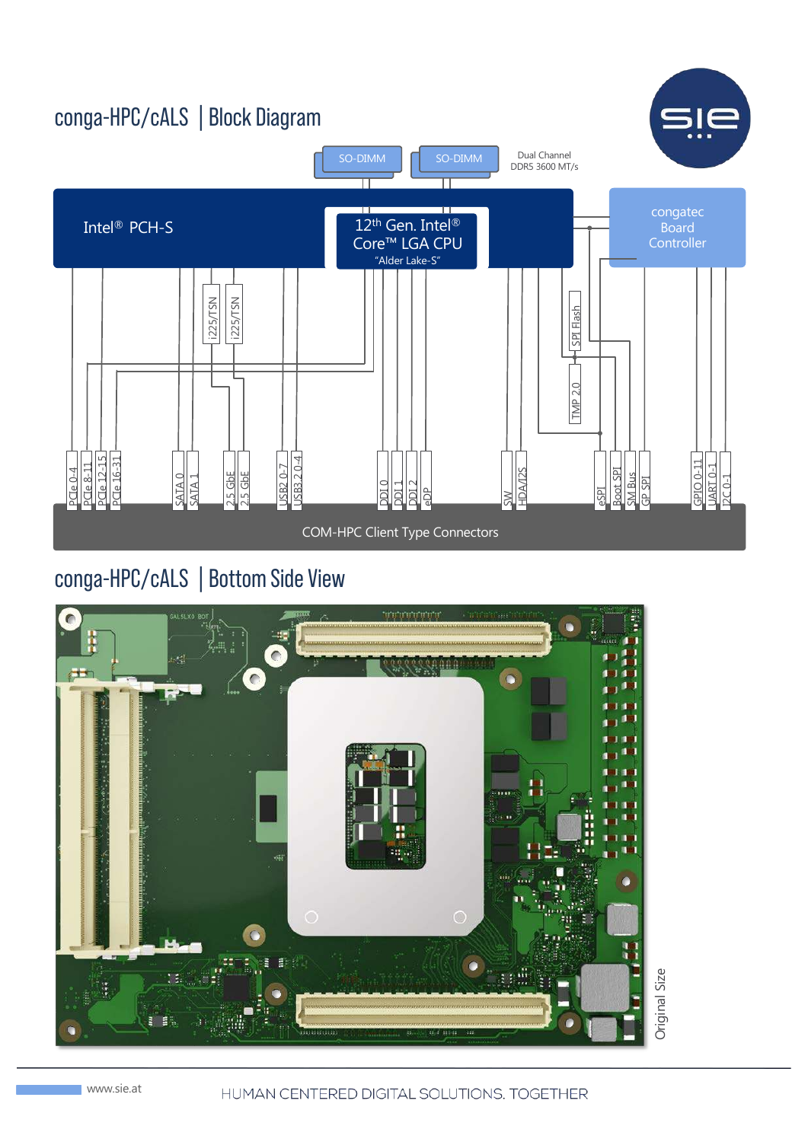

## conga-HPC/cALS | Bottom Side View



HUMAN CENTERED DIGITAL SOLUTIONS. TOGETHER